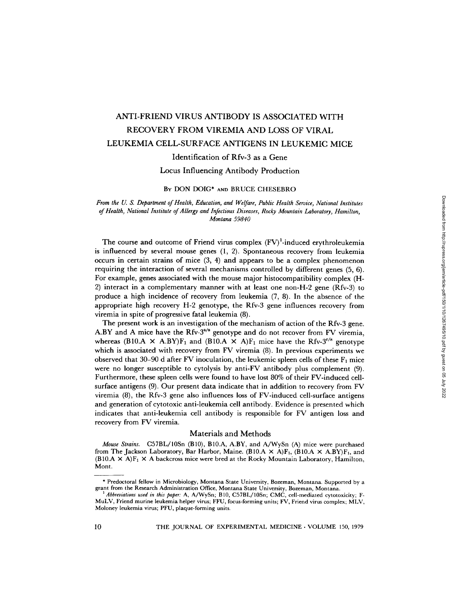# ANTI-FRIEND VIRUS ANTIBODY IS ASSOCIATED WITH RECOVERY FROM VIREMIA AND LOSS OF VIRAL LEUKEMIA CELL-SURFACE ANTIGENS IN LEUKEMIC MICE

# Identification of Rfv-3 as a Gene

Locus Influencing Antibody Production

# BY DON DOIG\* AND BRUCE CHESEBRO

*From the U. S. Department of Health, Education, and Welfare, Public Health Service, National Institutes*  of Health, National Institute of Allergy and Infectious Diseases, Rocky Mountain Laboratory, Hamilton, *Montana 59840* 

The course and outcome of Friend virus complex  $(FV)^1$ -induced erythroleukemia is influenced by several mouse genes (1, 2). Spontaneous recovery from leukemia occurs in certain strains of mice  $(3, 4)$  and appears to be a complex phenomenon requiring the interaction of several mechanisms controlled by different genes (5, 6). For example, genes associated with the mouse major histocompatibility complex (H-2) interact in a complementary manner with at least one non-H-2 gene (Rfv-3) to produce a high incidence of recovery from leukemia (7, 8). In the absence of the appropriate high recovery H-2 genotype, the Rfv-3 gene influences recovery from viremia in spite of progressive fatal leukemia (8).

The present work is an investigation of the mechanism of action of the Rfv-3 gene. A.BY and A mice have the Rfv- $3^{s/s}$  genotype and do not recover from FV viremia, whereas (B10.A  $\times$  A.BY)F<sub>1</sub> and (B10.A  $\times$  A)F<sub>1</sub> mice have the Rfv-3<sup>r/s</sup> genotype which is associated with recovery from FV viremia (8). In previous experiments we observed that 30-90 d after FV inoculation, the leukemic spleen cells of these  $F_1$  mice were no longer susceptible to cytolysis by anti-FV antibody plus complement (9). Furthermore, these spleen cells were found to have lost 80% of their FV-induced cellsurface antigens (9). Our present data indicate that in addition to recovery from FV viremia (8), the Rfv-3 gene also influences loss of FV-induced cell-surface antigens and generation of cytotoxic anti-leukemia cell antibody. Evidence is presented which indicates that anti-leukemia cell antibody is responsible for FV antigen loss and recovery from FV viremia.

# Materials and Methods

*Mouse Strains.* C57BL/10Sn (BI0), B10.A, A.BY, and A/WySn (A) mice were purchased from The Jackson Laboratory, Bar Harbor, Maine. (B10.A  $\times$  A)F<sub>1</sub>, (B10.A  $\times$  A.BY)F<sub>1</sub>, and (B10.A  $\times$  A)F<sub>1</sub>  $\times$  A backcross mice were bred at the Rocky Mountain Laboratory, Hamilton, Mont.

<sup>\*</sup> Predoctoral fellow in Microbiology, Montana State University, Bozeman, Montana. Supported by a grant from the Research Administration Office, Montana State University, Bozeman, Montana.

*<sup>1</sup>Abbreviations used in this paper."* A, A/WySn; B10, C57BL/10Sn; CMC, cell-mediated cytotoxicity; F-MuLV, Friend murine leukemia helper virus; FFU, focus-forming units; FV, Friend virus complex; MLV, Moloney leukemia virus; PFU, plaque-forming units.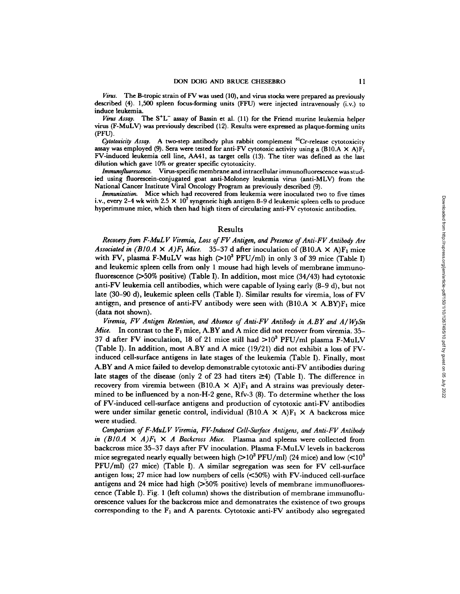*Virus.* The B-tropic strain of FV was used (10), and virus stocks were prepared as previously described (4). 1,500 spleen focus-forming units (FFU) were injected intravenously (i.v.) to induce **leukemia.** 

*Virus Assay.* The S<sup>+</sup>L<sup>-</sup> assay of Bassin et al. (11) for the Friend murine leukemia helper virus (F-MuLV) was previously described (12). Results were expressed as plaque-forming units (PFU).

*Cytotoxicity Assay.* A two-step antibody plus rabbit complement <sup>51</sup>Cr-release cytotoxicity assay was employed (9). Sera were tested for anti-FV cytotoxic activity using a (B10.A  $\times$  A)F<sub>1</sub> FV-induced leukemia cell line, AA41, as target cells (13). The titer was defined as the last dilution which gave 10% or greater specific cytotoxicity.

*Immunofluorcscence.* Virus-specific membrane and intracellular immunofluorescence was studied using fluorescein-conjugated goat anti-Moloney leukemia virus (anti-MLV) from the National Cancer Institute Viral Oncology Program as previously described (9).

*Immunization.* Mice which had recovered from leukemia were inoculated two to five times i.v., every 2-4 wk with 2.5  $\times$  10<sup>7</sup> syngeneic high antigen 8-9 d leukemic spleen cells to produce hyperimmune mice, which then had high titers of circulating anti-FV cytotoxic antibodies.

## Results

*Recove(y from F-MuL V Viremia, Loss of FV Antigen, and Presence of Anti-FV Antibody Are Associated in (BIO.A*  $\times$  *A)F<sub>1</sub> Mice.* 35–37 d after inoculation of (BIO.A  $\times$  A)F<sub>1</sub> mice with FV, plasma F-MuLV was high  $(>10^3 \text{ PFU/ml})$  in only 3 of 39 mice (Table I) and leukemic spleen cells from only 1 mouse had high levels of membrane immunofluorescence (>50% positive) (Table I). In addition, most mice (34/43) had cytotoxic anti-FV leukemia cell antibodies, which were capable of lysing early (8-9 d), but not late (30-90 d), leukemic spleen cells (Table I). Similar results for viremia, loss of FV antigen, and presence of anti-FV antibody were seen with  $(B10.A \times A.BY)F_1$  mice (data riot shown).

*Viremia, FV Antigen Retention, and Absence of Anti-FV Antibody in A.BY and A/WySn Mice.* In contrast to the  $F_1$  mice, A.BY and A mice did not recover from viremia. 35– 37 d after FV inoculation, 18 of 21 mice still had  $>10^3$  PFU/ml plasma F-MuLV (Table I). In addition, most A.BY and A mice (19/21) did not exhibit a loss of FVinduced cell-surface antigens in late stages of the leukemia (Table I). Finally, most A.BY and A mice failed to develop demonstrable cytotoxic anti-FV antibodies during late stages of the disease (only 2 of 23 had titers  $\geq 4$ ) (Table I). The difference in recovery from viremia between (B10.A  $\times$  A)F<sub>1</sub> and A strains was previously determined to be influenced by a non-H-2 gene, Rfv-3 (8). To determine whether the loss of FV-induced cell-surface antigens and production of cytotoxic anti-FV antibodies were under similar genetic control, individual (B10.A  $\times$  A)F<sub>1</sub>  $\times$  A backeross mice were studied.

*Comparison of F-MuL V Viremia, FV-Induced Cell-Surface Antigens, and Anti-FV Antibody in (BIO.A*  $\times$  *A)F<sub>1</sub>*  $\times$  *A Backcross Mice.* Plasma and spleens were collected from backcross mice 35-37 days after FV inoculation. Plasma F-MuLV levels in backcross mice segregated nearly equally between high  $(> 10^3 \text{ PFU/ml})$  (24 mice) and low  $(< 10^3 \text{ PFU/ml})$ PFU/ml) (27 mice) (Table I). A similar segregation was seen for FV cell-surface antigen loss; 27 mice had low numbers of cells  $(<50\%)$  with FV-induced cell-surface antigens and 24 mice had high  $(50\% \text{ positive})$  levels of membrane immunofluoreseence (Table I). Fig. 1 (left column) shows the distribution of membrane immunofluorescence values for the backcross mice and demonstrates the existence of two groups corresponding to the  $F_1$  and A parents. Cytotoxic anti-FV antibody also segregated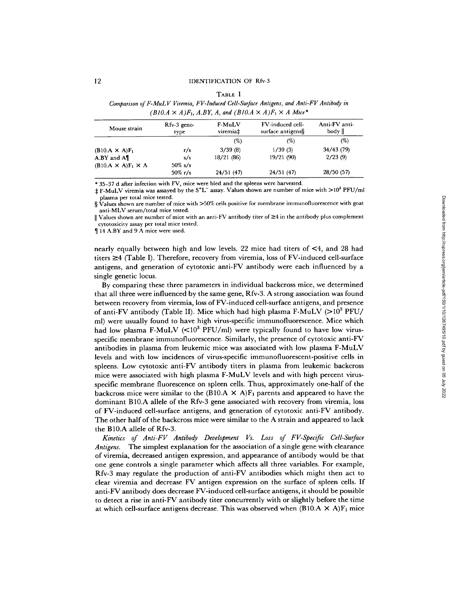#### TABLE I

*Comparison of F-MuL V Viremia, FV-Induced Cell-Surface Antigens, and Anti-FV Antibody in*   $(B10.A \times A)F_1$ , A.BY, A, and  $(B10.A \times A)F_1 \times A$  Mice\*

| Mouse strain                   | $Rfv-3$ geno-<br>type | F-MuLV<br>viremia‡ | FV-induced cell-<br>surface antigens§ | Anti-FV anti-<br>body |
|--------------------------------|-----------------------|--------------------|---------------------------------------|-----------------------|
|                                |                       | (%)                | (%)                                   | (%)                   |
| $(B10.A \times A)F_1$          | r/s                   | 3/39(8)            | 1/39(3)                               | 34/43(79)             |
| $A.BY$ and $A\P$               | s/s                   | 18/21(86)          | 19/21(90)                             | 2/23(9)               |
| $(B10.A \times A)F_1 \times A$ | $50\%$ s/s            |                    |                                       |                       |
|                                | $50\% \text{ r/s}$    | 24/51(47)          | 24/51(47)                             | 28/50(57)             |

**\*** 35-37 d after infection with FV, mice were bled and the spleens were harvested.

 $\pm$  F-MuLV viremia was assayed by the S<sup>+</sup>L<sup>-</sup> assay. Values shown are number of mice with >10<sup>3</sup> PFU/ml plasma per total mice tested.

§ Values shown are number of mice with >50% cells positive for membrane immunofluorescence with goat anti-MLV serum/total mice tested.

 $\parallel$  Values shown are number of mice with an anti-FV antibody titer of  $\geq 4$  in the antibody plus complement cytotoxicity assay per total mice tested.

¶ 14 A.BY and 9 A mice were used.

nearly equally between high and low levels. 22 mice had titers of <4, and 28 had titers  $\geq 4$  (Table I). Therefore, recovery from viremia, loss of FV-induced cell-surface antigens, and generation of cytotoxic anti-FV antibody were each influenced by a single genetic locus.

By comparing these three parameters in individual backcross mice, we determined that all three were influenced by the same gene, Rfv-3. A strong association was found between recovery from viremia, loss of FV-induced cell-surface antigens, and presence of anti-FV antibody (Table II). Mice which had high plasma F-MuLV ( $>10^3$  PFU/ ml) were usually found to have high virus-specific immunofluorescence. Mice which had low plasma F-MuLV  $\langle$ <10<sup>3</sup> PFU/ml) were typically found to have low virusspecific membrane immunofluorescence. Similarly, the presence of cytotoxic anti-FV antibodies in plasma from leukemic mice was associated with low plasma F-MuLV levels and with low incidences of virus-specific immunofluorescent-positive cells in spleens. Low cytotoxic anti-FV antibody titers in plasma from leukemic backcross mice were associated with high plasma F-MuLV levels and with high percent virusspecific membrane fluorescence on spleen cells. Thus, approximately one-half of the backcross mice were similar to the  $(B10.A \times A)F_1$  parents and appeared to have the dominant B10.A allele of the Rfv-3 gene associated with recovery from viremia, loss of FV-induced cell-surface antigens, and generation of cytotoxic anti-FV antibody. The other half of the backcross mice were similar to the A strain and appeared to lack the B10.A allele of Rfv-3.

*Kinetics of anti-FV Antibody Development Vs. Loss of FV-Specific Cell-Surface Antigens.* The simplest explanation for the association of a single gene with clearance of viremia, decreased antigen expression, and appearance of antibody would be that one gene controls a single parameter which affects all three variables. For example, Rfv-3 may regulate the production of anti-FV antibodies which might then act to clear viremia and decrease FV antigen expression on the surface of spleen cells. If anti-FV antibody does decrease FV-induced cell-surface antigens, it should be possible to detect a rise in anti-FV antibody titer concurrently with or slightly before the time at which cell-surface antigens decrease. This was observed when  $(B10.A \times A)F_1$  mice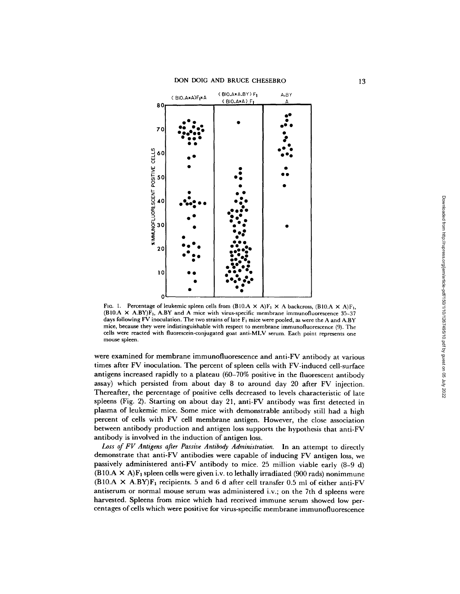

FIG. 1. Percentage of leukemic spleen cells from  $(B10.A \times A)F_1 \times A$  backcross,  $(B10.A \times A)F_1$ , (BI0.A  $\times$  A.BY) $\tilde{F}_1$ , A.BY and A mice with virus-specific membrane immunofluorescence 35-37 days following FV inoculation. The two strains of late  $F_1$  mice were pooled, as were the A and A.BY mice, because they were indistinguishable with respect to membrane immunofluorescence (9). The cells were reacted with fluorescein-conjugated goat anti-MLV serum. Each point represents one mouse spleen.

were examined for membrane immunofluorescence and anti-FV antibody at various times after FV inoculation. The percent of spleen cells with FV-induced cell-surface antigens increased rapidly to a plateau (60-70% positive in the fluorescent antibody assay) which persisted from about day 8 to around day 20 after FV injection. Thereafter, the percentage of positive cells decreased to levels characteristic of late spleens (Fig. 2). Starting on about day 21, anti-FV antibody was first detected in plasma of leukemic mice. Some mice with demonstrable antibody still had a high percent of cells with FV cell membrane antigen. However, the close association between antibody production and antigen loss supports the hypothesis that anti-FV antibody is involved in the induction of antigen loss.

*Loss of FV Antigens after Passive Antibody Administration.* In an attempt to directly demonstrate that anti-FV antibodies were capable of inducing FV antigen loss, we passively administered anti-FV antibody to mice. 25 million viable early (8-9 d)  $(B10.A \times A)F_1$  spleen cells were given i.v. to lethally irradiated (900 rads) nonimmune (B10.A  $\times$  A.BY)F<sub>1</sub> recipients. 5 and 6 d after cell transfer 0.5 ml of either anti-FV antiserum or normal mouse serum was administered i.v.; on the 7th d spleens were harvested. Spleens from mice which had received immune serum showed low percentages of cells which were positive for virus-specific membrane immunofluorescence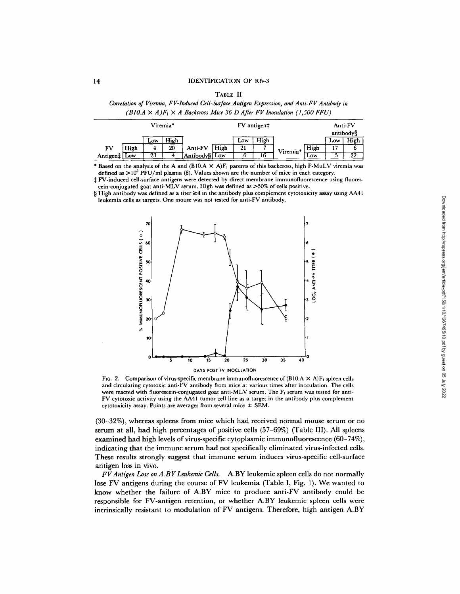| ٠<br>u.<br>۰.<br>- |  |
|--------------------|--|
|--------------------|--|

|  |                                                                                     | Correlation of Viremia, FV-Induced Cell-Surface Antigen Expression, and Anti-FV Antibody in |
|--|-------------------------------------------------------------------------------------|---------------------------------------------------------------------------------------------|
|  | $(B10.A \times A)F_1 \times A$ Backcross Mice 36 D After FV Inoculation (1,500 FFU) |                                                                                             |

| Viremia*     |      |     | FV antigen‡ |               |      | Anti-FV |      |          |      |     |           |
|--------------|------|-----|-------------|---------------|------|---------|------|----------|------|-----|-----------|
|              |      |     |             |               |      |         |      |          |      |     | antibody§ |
|              |      | Low | High        |               |      | Low     | High |          |      | Low | High      |
| FV           | High |     | 20          | Anti-FV       | High | 21      |      | Viremia* | High |     |           |
| Antigen‡ Low |      | 23  |             | Antibody§ Low |      |         | 16   |          | Low  |     | 22        |

\* Based on the analysis of the A and  $(B10.A \times A)F_1$  parents of this backcross, high F-MuLV viremia was defined as  $>10^3$  PFU/ml plasma (8). Values shown are the number of mice in each category.

:~ FV-induced cell-surface antigens were detected by direct membrane immunofluorescence using fluorescein-conjugated goat anti-MLV serum. High was defined as  $>50\%$  of cells positive.

§ High antibody was defined as a titer  $\geq 4$  in the antibody plus complement cytotoxicity assay using AA41 leukemia cells as targets. One mouse was not tested for anti-FV antibody.



FIG. 2. Comparison of virus-specific membrane immunofluorescence of  $(B10.A \times A)F_1$  spleen cells and circulating cytotoxic anti-FV antibody from mice at various times after inoculation. The cells were reacted with fluorescein-conjugated goat anti-MLV serum. The  $F_1$  serum was tested for anti-FV cytotoxic activity using the AA41 tumor cell line as a target in the antibody plus complement cytotoxicity assay. Points are averages from several mice  $\pm$  SEM.

(30-32%), whereas spleens from mice which had received normal mouse serum or no serum at all, had high percentages of positive cells (57-69%) (Table III). All spleens examined had high levels of virus-specific cytoplasmic immunofluorescence (60-74%), indicating that the immune serum had not specifically eliminated virus-infected cells. These results strongly suggest that immune serum induces virus-specific cell-surface antigen loss in vivo.

*FVAntigen Loss on A.BYLeukemi¢ Cells.* A.BY leukemic spleen cells do not normally lose FV antigens during the course of FV leukemia (Table I, Fig. 1). We wanted to know whether the failure of A.BY mice to produce anti-FV antibody could be responsible for FV-antigen retention, or whether A.BY leukemic spleen cells were intrinsically resistant to modulation of FV antigens. Therefore, high antigen A.BY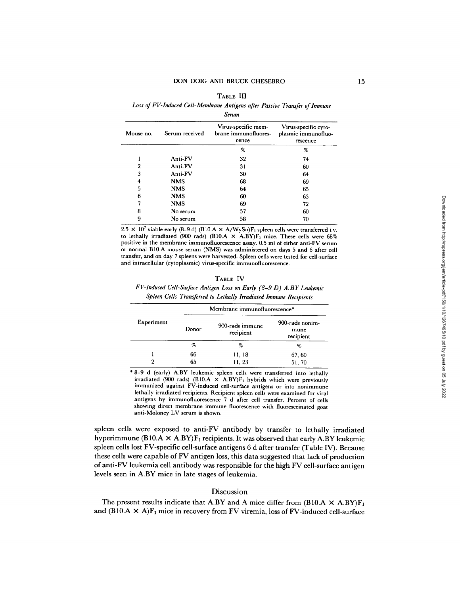#### TABLE III

*Loss of FV-Induced Cell-Membrane Antigens after Passive Transfer of lmmune* 

*Serum* 

| Mouse no. | Serum received | Virus-specific mem-<br>brane immunofluores-<br>cence | Virus-specific cyto-<br>plasmic immunofluo-<br>rescence |  |
|-----------|----------------|------------------------------------------------------|---------------------------------------------------------|--|
|           |                | %                                                    | %                                                       |  |
|           | Anti-FV        | 32                                                   | 74                                                      |  |
| 2         | Anti-FV        | 31                                                   | 60                                                      |  |
| 3         | Anti-FV        | 30                                                   | 64                                                      |  |
| 4         | NMS            | 68                                                   | 69                                                      |  |
| 5         | <b>NMS</b>     | 64                                                   | 65                                                      |  |
| 6         | <b>NMS</b>     | 60                                                   | 63                                                      |  |
|           | <b>NMS</b>     | 69                                                   | 72                                                      |  |
| 8         | No serum       | 57                                                   | 60                                                      |  |
| 9         | No serum       | 58                                                   | 70                                                      |  |

2.5  $\times$  10<sup>7</sup> viable early (8-9 d) (B10.A  $\times$  A/WySn)F<sub>1</sub> spleen cells were transferred i.v. to lethally irradiated (900 rads) (B10.A  $\times$  A.BY)F<sub>1</sub> mice. These cells were 68% positive in the membrane immunofluorescence assay. 0.5 ml of either anti-FV serum or normal B10.A mouse serum (NMS) was administered on days 5 and 6 after cell transfer, and on day 7 spleens were harvested. Spleen cells were tested for cell-surface and intracellular (cytoplasmic) virus-specific immunofluorescence.

#### **TABLE** IV

# *FV-Induced Cell-Surface Antigen Loss on Early (8-9 D) A.BY Leukemic Spleen Cells Transferred to Lethally Irradiated Immune Recipients*

|            | Membrane immunofluorescence* |                              |                                      |  |  |  |
|------------|------------------------------|------------------------------|--------------------------------------|--|--|--|
| Experiment | Donor                        | 900-rads immune<br>recipient | 900-rads nonim-<br>mune<br>recipient |  |  |  |
|            | %                            | %                            | %                                    |  |  |  |
|            | 66                           | 11, 18                       | 67, 60                               |  |  |  |
|            | 65                           | 11, 23                       | 51, 70                               |  |  |  |

\* 8-9 d (early) A.BY leukemic spleen cells were transferred into lethally irradiated (900 rads) (B10.A  $\times$  A.BY)F<sub>1</sub> hybrids which were previously immunized against FV-induced cell-surface antigens or into nonimmune lethally irradiated recipients. Recipient spleen ceils were examined for viral antigens by immunofluorescence 7 d after cell transfer. Percent of cells showing direct membrane immune fluorescence with fluoresceinated goat anti-Moloney LV serum is shown.

spleen cells were exposed to anti-FV antibody by transfer to lethally irradiated hyperimmune (B10.A  $\times$  A.BY)F<sub>1</sub> recipients. It was observed that early A.BY leukemic spleen cells lost FV-specific cell-surface antigens 6 d after transfer (Table IV). Because these cells were capable of FV antigen loss, this data suggested that lack of production of anti-FV leukemia cell antibody was responsible for the high FV cell-surface antigen levels seen in A.BY mice in late stages of leukemia.

# Discussion

The present results indicate that A.BY and A mice differ from (B10.A  $\times$  A.BY)F<sub>1</sub> and  $(B10.A \times A)F_1$  mice in recovery from FV viremia, loss of FV-induced cell-surface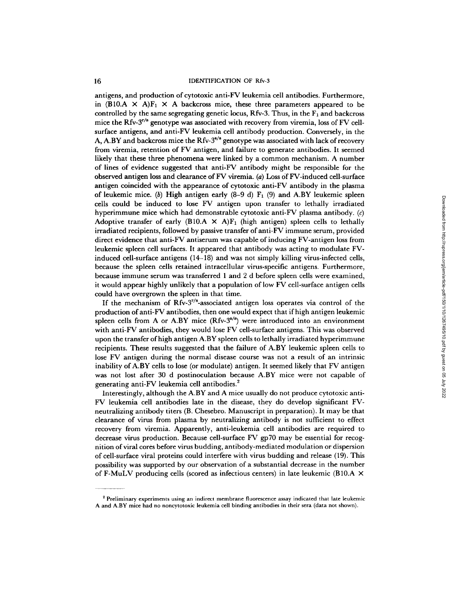antigens, and production of cytotoxic anti-FV leukemia cell antibodies. Furthermore, in (B10.A  $\times$  A)F<sub>1</sub>  $\times$  A backcross mice, these three parameters appeared to be controlled by the same segregating genetic locus,  $Rfv-3$ . Thus, in the  $F_1$  and backcross mice the Rfv- $3^{r/s}$  genotype was associated with recovery from viremia, loss of FV cellsurface antigens, and anti-FV leukemia cell antibody production. Conversely, in the A, A.BY and backcross mice the Rfv-3<sup>8/8</sup> genotype was associated with lack of recovery from viremia, retention of FV antigen, and failure to generate antibodies. It seemed likely that these three phenomena were linked by a common mechanism. A number of lines of evidence suggested that anti-FV antibody might be responsible for the observed antigen loss and clearance of FV viremia. (a) Loss Of FV-induced cell-surface antigen coincided with the appearance of cytotoxic anti-FV antibody in the plasma of leukemic mice. (b) High antigen early  $(8-9 d) F_1 (9)$  and A.BY leukemic spleen cells could be induced to lose FV antigen upon transfer to lethally irradiated hyperimmune mice which had demonstrable cytotoxic anti-FV plasma antibody.  $(c)$ Adoptive transfer of early (B10.A  $\times$  A)F<sub>1</sub> (high antigen) spleen cells to lethally irradiated recipients, followed by passive transfer of anti-FV immune serum, provided direct evidence that anti-FV antiserum was capable of inducing FV-antigen loss from leukemic spleen cell surfaces. It appeared that antibody was acting to modulate FVinduced cell-surface antigens (14-18) and was not simply killing virus-infected cells, because the spleen cells retained intracellular virus-specific antigens. Furthermore, because immune serum was transferred 1 and 2 d before spleen cells were examined, it would appear highly unlikely that a population of low FV cell-surface antigen cells could have overgrown the spleen in that time.

If the mechanism of  $Rfv-3^{r/8}$ -associated antigen loss operates via control of the production of anti-FV antibodies, then one would expect that if high antigen leukemic spleen cells from A or A.BY mice  $(Rfv-3^{s/s})$  were introduced into an environment with anti-FV antibodies, they would lose FV cell-surface antigens. This was observed upon the transfer of high antigen A.BY spleen cells to lethally irradiated hyperimmune recipients. These results suggested that the failure of A.BY leukemic spleen cells to lose FV antigen during the normal disease course was not a result of an intrinsic inability of A.BY cells to lose (or modulate) antigen. It seemed likely that FV antigen was not lost after 30 d postinoculation because A.BY mice were not capable of generating anti-FV leukemia cell antibodies. 2

Interestingly, although the A.BY and A mice usually do not produce cytotoxic anti-FV leukemia cell antibodies late in the disease, they do develop significant FVneutralizing antibody titers (B. Chesebro. Manuscript in preparation). It may be that clearance of virus from plasma by neutralizing antibody is not sufficient to effect recovery from viremia. Apparently, anti-leukemia cell antibodies are required to decrease virus production. Because cell-surface FV gp70 may be essential for recognition of viral cores before virus budding, antibody-mediated modulation or dispersion of cell-surface viral proteins could interfere with virus budding and release (19). This possibility was supported by our observation of a substantial decrease in the number of F-MuLV producing cells (scored as infectious centers) in late leukemic (B10.A  $\times$ 

<sup>&</sup>lt;sup>2</sup> Preliminary experiments using an indirect membrane fluorescence assay indicated that late leukemic A and A.BY mice had no noncytotoxic leukemia cell binding antibodies in their sera (data not shown).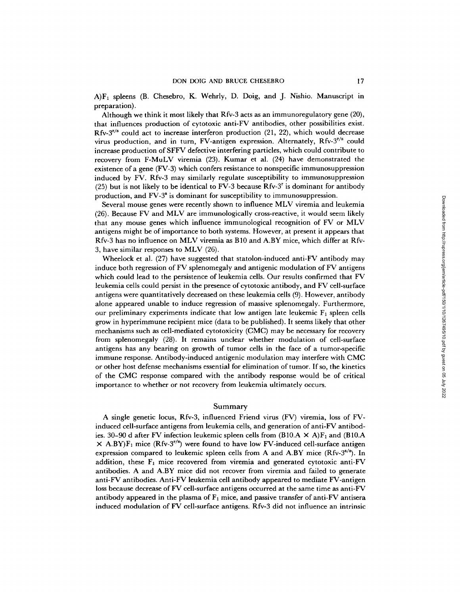$A$ )F<sub>1</sub> spleens (B. Chesebro, K. Wehrly, D. Doig, and J. Nishio. Manuscript in preparation).

Although we think it most likely that Rfv-3 acts as an immunoregulatory gene (20), that influences production of cytotoxic anti-FV antibodies, other possibilities exist.  $Rfv-3<sup>r/s</sup>$  could act to increase interferon production (21, 22), which would decrease virus production, and in turn, FV-antigen expression. Alternately,  $Rfv-3^{r/s}$  could increase production of SFFV defective interfering particles, which could contribute to recovery from F-MuLV viremia (23). Kumar et al. (24) have demonstrated the existence of a gene (FV-3) which confers resistance to nonspecific immunosuppression induced by FV. Rfv-3 may similarly regulate susceptibility to immunosuppression (25) but is not likely to be identical to FV-3 because  $Rfv-3^r$  is dominant for antibody production, and FV-3" is dominant for susceptibility to immunosuppression.

Several mouse genes were recently shown to influence MLV viremia and leukemia (26). Because FV and MLV are immunologically cross-reactive, it would seem likely that any mouse genes which influence immunological recognition of FV or MLV antigens might be of importance to both systems. However, at present it appears that Rfv-3 has no influence on MLV viremia as B10 and A.BY mice, which differ at Rfv-3, have similar responses to MLV (26).

Wheelock et al. (27) have suggested that statolon-induced anti-FV antibody may induce both regression of FV splenomegaly and antigenic modulation of FV antigens which could lead to the persistence of leukemia cells. Our results confirmed that FV leukemia cells could persist in the presence of cytotoxic antibody, and FV cell-surface antigens were quantitatively decreased on these leukemia cells (9). However, antibody alone appeared unable to induce regression of massive splenomegaly. Furthermore, our preliminary experiments indicate that low antigen late leukemic  $F_1$  spleen cells grow in hyperimmune recipient mice (data to be published). It seems likely that other mechanisms such as cell-mediated cytotoxicity (CMC) may be necessary for recovery from splenomegaly (28). It remains unclear whether modulation of cell-surface antigens has any bearing on growth of tumor cells in the face of a tumor-specific immune response. Antibody-induced antigenic modulation may interfere with CMC or other host defense mechanisms essential for elimination of tumor. If so, the kinetics of the CMC response compared with the antibody response would be of critical importance to whether or not recovery from leukemia ultimately occurs.

## Summary

A single genetic locus, Rfv-3, influenced Friend virus (FV) viremia, loss of FVinduced cell-surface antigens from leukemia cells, and generation of anti-FV antibodies. 30–90 d after FV infection leukemic spleen cells from  $(B10.A \times A)F_1$  and  $(B10.A$  $\times$  A.BY) $F_1$  mice (Rfv-3<sup>r/s</sup>) were found to have low FV-induced cell-surface antigen expression compared to leukemic spleen cells from A and A.BY mice  $(Rfv-3^{s/s})$ . In addition, these  $F_1$  mice recovered from viremia and generated cytotoxic anti-FV antibodies. A and A.BY mice did not recover from viremia and failed to generate anti-FV antibodies. Anti-FV leukemia cell antibody appeared to mediate FV-antigen loss because decrease of FV cell-surface antigens occurred at the same time as anti-FV antibody appeared in the plasma of  $F_1$  mice, and passive transfer of anti-FV antisera induced modulation of FV cell-surface antigens. Rfv-3 did not influence an intrinsic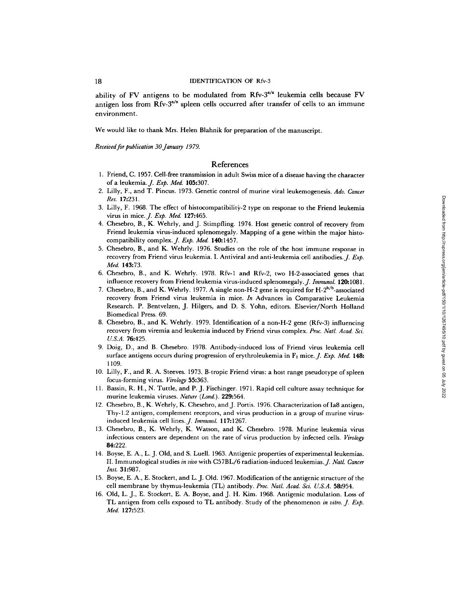ability of FV antigens to be modulated from Rfv- $3^{s/s}$  leukemia cells because FV antigen loss from  $Rfv-3^{s/s}$  spleen cells occurred after transfer of cells to an immune environment.

We would like to thank Mrs. Helen Blahnik for preparation of the manuscript.

*Received for publication 30 January 1979.* 

# References

- 1. Friend, C. 1957. Cell-free transmission in adult Swiss mice of a disease having the character of a leukemia.]. *Exp. Med.* 105:307.
- 2. Lilly, F., and T. Pincus. 1973. Genetic control of murine viral leukemogenesis. *Adv. Cancer Res.* 17:231.
- 3. Lilly, F. 1968. The effect of histocompatibility-2 type on response to the Friend leukemia virus in mice. *J. Exp. Med.* **127:465.**
- 4. Chesebro, B., K. Wehrly, and J. Stimpfling. 1974. Host genetic control of recovery from Friend leukemia virus-induced splenomegaly. Mapping of a gene within the major histocompatibility complex. *J. Exp. Med.* **140:**1457.
- 5. Chesebro, B., and K. Wehrly. 1976. Studies on the role of the host immune response in recovery from Friend virus leukemia. I. Antiviral and anti-leukemia cell antibodies. *J. Exp. Med.* 143:73.
- 6. Chesebro, B., and K. Wehrly. 1978. Rfv-1 and Rfv-2, two H-2-associated genes that influence recovery from Friend leukemia virus-induced splenomegaly. *J. Immunol.* **120:1081.**
- 7. Chesebro, B., and K. Wehrly. 1977. A single non-H-2 gene is required for  $H-2^{b/b}$ -associated recovery from Friend virus leukemia in mice. *In* Advances in Comparative Leukemia Research. P. Bentvelzen, J. Hilgers, and D. S. Yohn, editors. Elsevier/North Holland Biomedical Press. 69.
- 8. Chesebro, B., and K. Wehrly. 1979. Identification of a non-H-2 gene (Rfv-3) influencing recovery from viremia and leukemia induced by Friend virus complex. *Proc. Natl. Acad. Sci. U.S.A.* 76:425.
- 9. Doig, D., and B. Chesebro. 1978. Antibody-induced loss of Friend virus leukemia cell surface antigens occurs during progression of erythroleukemia in F<sub>1</sub> mice. *J. Exp. Med.* 148: **1109.**
- 10. Lilly, F., and R. A. Steeves. 1973. B-tropic Friend virus: a host range pseudotype of spleen focus-forming virus. *Virology* 55:363.
- 11. Bassin, R. H., N. Tuttle, and P. J. Fischinger. 1971. Rapid cell culture assay technique for murine leukemia viruses. *Nature (Lond.).* 229:564.
- 12. Chesebro, B., K. Wehrly, K. Chesebro, and J. Portis. 1976. Characterization of Ia8 antigen, Thy-l.2 antigen, complement receptors, and virus production in a group of murine virusinduced leukemia cell lines. *J. Immunol.* 117:1267.
- 13. Chesebro, B., K. Wehrly, K. Watson, and K. Chesebro. 1978. Murine leukemia virus infectious centers are dependent on the rate of virus production by infected cells. *Virology*  84:222.
- 14. Boyse, E. A., L. J. Old, and S. Luell. 1963. Antigenic properties of experimental leukemias. II. Immunological studies *in vivo* with C57BL/6 radiation-induced leukemias.J. *NatL Cancer Inst.* 31:987.
- 15. Boyse, E. A., E. Stockert, and L. J. Old. 1967. Modification of the antigenic structure of the cell membrane by thymus-leukemia (TL) antibody. *Proc. Natl. Acad. Sci. U.S.A.* 58:954.
- 16. Old, L. J., E. Stockert, E. A. Boyse, and J. H. Kim. 1968. Antigenic modulation. Loss of TL antigen from cells exposed to TL antibody. Study of the phenomenon *in vitro. J. Exp. Med.* 127:523.